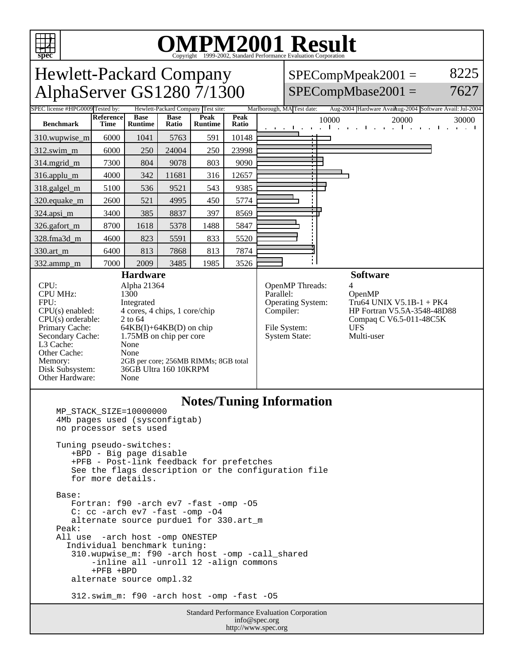

http://www.spec.org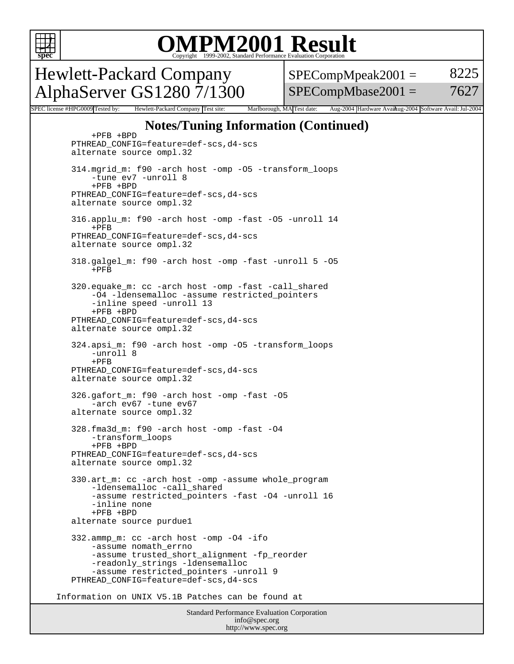

## OMPM2001 Result to Evaluation Corporation

Hewlett-Packard Company AlphaServer GS1280 7/1300  $SPECompMpeak2001 =$ SPECompMbase2001 = 8225 7627

SPEC license #HPG0009 Tested by: Hewlett-Packard Company Test site: Marlborough, MA Test date: Aug-2004 Hardware Avail: was 2004 Software Avail: Jul-2004

### **Notes/Tuning Information (Continued)**

Standard Performance Evaluation Corporation info@spec.org +PFB +BPD PTHREAD\_CONFIG=feature=def-scs,d4-scs alternate source ompl.32 314.mgrid\_m: f90 -arch host -omp -O5 -transform\_loops -tune ev7 -unroll 8 +PFB +BPD PTHREAD\_CONFIG=feature=def-scs,d4-scs alternate source ompl.32 316.applu\_m: f90 -arch host -omp -fast -O5 -unroll 14 +PFB PTHREAD\_CONFIG=feature=def-scs,d4-scs alternate source ompl.32 318.galgel\_m: f90 -arch host -omp -fast -unroll 5 -O5  $+$ PFR 320.equake\_m: cc -arch host -omp -fast -call\_shared -O4 -ldensemalloc -assume restricted\_pointers -inline speed -unroll 13 +PFB +BPD PTHREAD\_CONFIG=feature=def-scs,d4-scs alternate source ompl.32 324.apsi\_m: f90 -arch host -omp -O5 -transform\_loops -unroll 8  $+$ PFB PTHREAD\_CONFIG=feature=def-scs,d4-scs alternate source ompl.32 326.gafort\_m: f90 -arch host -omp -fast -O5 -arch ev67 -tune ev67 alternate source ompl.32 328.fma3d\_m: f90 -arch host -omp -fast -O4 -transform\_loops +PFB +BPD PTHREAD\_CONFIG=feature=def-scs,d4-scs alternate source ompl.32 330.art\_m: cc -arch host -omp -assume whole\_program -ldensemalloc -call\_shared -assume restricted\_pointers -fast -O4 -unroll 16 -inline none +PFB +BPD alternate source purdue1 332.ammp\_m: cc -arch host -omp -O4 -ifo -assume nomath\_errno -assume trusted\_short\_alignment -fp\_reorder -readonly\_strings -ldensemalloc -assume restricted\_pointers -unroll 9 PTHREAD\_CONFIG=feature=def-scs,d4-scs Information on UNIX V5.1B Patches can be found at

http://www.spec.org